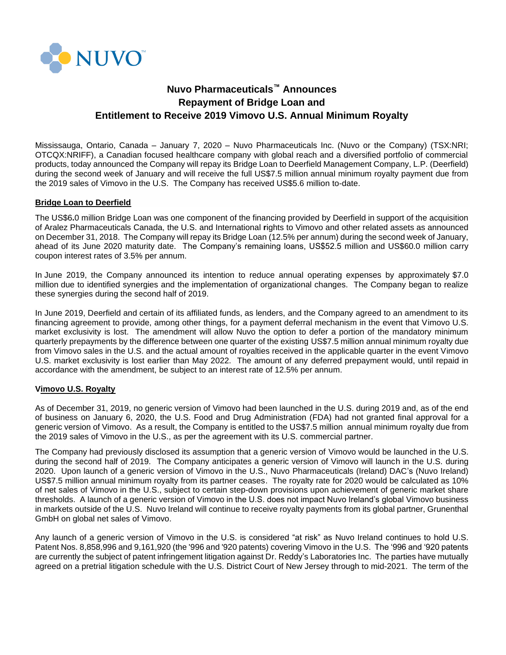

# **Nuvo Pharmaceuticals™ Announces Repayment of Bridge Loan and Entitlement to Receive 2019 Vimovo U.S. Annual Minimum Royalty**

Mississauga, Ontario, Canada – January 7, 2020 – Nuvo Pharmaceuticals Inc. (Nuvo or the Company) (TSX:NRI; OTCQX:NRIFF), a Canadian focused healthcare company with global reach and a diversified portfolio of commercial products, today announced the Company will repay its Bridge Loan to Deerfield Management Company, L.P. (Deerfield) during the second week of January and will receive the full US\$7.5 million annual minimum royalty payment due from the 2019 sales of Vimovo in the U.S. The Company has received US\$5.6 million to-date.

## **Bridge Loan to Deerfield**

The US\$6**.**0 million Bridge Loan was one component of the financing provided by Deerfield in support of the acquisition of Aralez Pharmaceuticals Canada, the U.S. and International **r**ights to Vimovo and other related assets as announced on December 31, 2018. The Company will repay its Bridge Loan (12.5% per annum) during the second week of January, ahead of its June 2020 maturity date. The Company's remaining loans, US\$52.5 million and US\$60.0 million carry coupon interest rates of 3.5% per annum.

In June 2019, the Company announced its intention to reduce annual operating expenses by approximately \$7.0 million due to identified synergies and the implementation of organizational changes. The Company began to realize these synergies during the second half of 2019.

In June 2019, Deerfield and certain of its affiliated funds, as lenders, and the Company agreed to an amendment to its financing agreement to provide, among other things, for a payment deferral mechanism in the event that Vimovo U.S. market exclusivity is lost. The amendment will allow Nuvo the option to defer a portion of the mandatory minimum quarterly prepayments by the difference between one quarter of the existing US\$7.5 million annual minimum royalty due from Vimovo sales in the U.S. and the actual amount of royalties received in the applicable quarter in the event Vimovo U.S. market exclusivity is lost earlier than May 2022. The amount of any deferred prepayment would, until repaid in accordance with the amendment, be subject to an interest rate of 12.5% per annum.

### **Vimovo U.S. Royalty**

As of December 31, 2019, no generic version of Vimovo had been launched in the U.S. during 2019 and, as of the end of business on January 6, 2020, the U.S. Food and Drug Administration (FDA) had not granted final approval for a generic version of Vimovo. As a result, the Company is entitled to the US\$7.5 million annual minimum royalty due from the 2019 sales of Vimovo in the U.S., as per the agreement with its U.S. commercial partner.

The Company had previously disclosed its assumption that a generic version of Vimovo would be launched in the U.S. during the second half of 2019. The Company anticipates a generic version of Vimovo will launch in the U.S. during 2020. Upon launch of a generic version of Vimovo in the U.S., Nuvo Pharmaceuticals (Ireland) DAC's (Nuvo Ireland) US\$7.5 million annual minimum royalty from its partner ceases. The royalty rate for 2020 would be calculated as 10% of net sales of Vimovo in the U.S., subject to certain step-down provisions upon achievement of generic market share thresholds. A launch of a generic version of Vimovo in the U.S. does not impact Nuvo Ireland's global Vimovo business in markets outside of the U.S. Nuvo Ireland will continue to receive royalty payments from its global partner, Grunenthal GmbH on global net sales of Vimovo.

Any launch of a generic version of Vimovo in the U.S. is considered "at risk" as Nuvo Ireland continues to hold U.S. Patent Nos. 8,858,996 and 9,161,920 (the '996 and '920 patents) covering Vimovo in the U.S. The '996 and '920 patents are currently the subject of patent infringement litigation against Dr. Reddy's Laboratories Inc. The parties have mutually agreed on a pretrial litigation schedule with the U.S. District Court of New Jersey through to mid-2021. The term of the